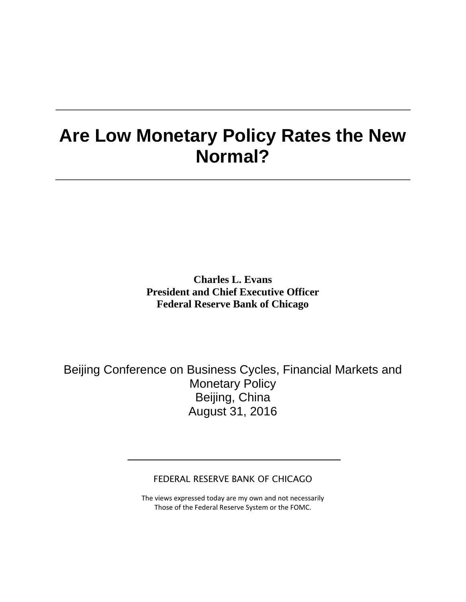## **Are Low Monetary Policy Rates the New Normal?**

**Charles L. Evans President and Chief Executive Officer Federal Reserve Bank of Chicago**

Beijing Conference on Business Cycles, Financial Markets and Monetary Policy Beijing, China August 31, 2016

FEDERAL RESERVE BANK OF CHICAGO

The views expressed today are my own and not necessarily Those of the Federal Reserve System or the FOMC.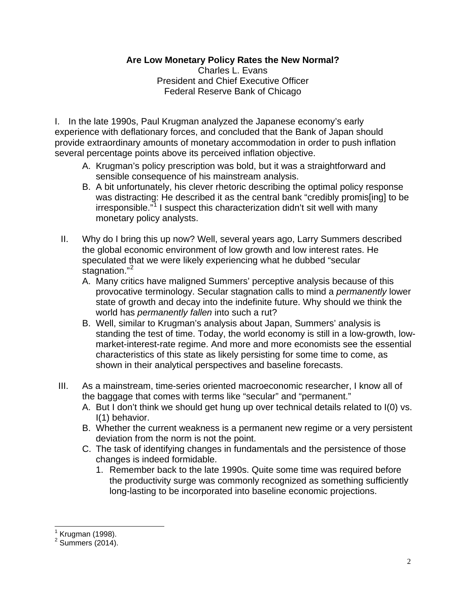## **Are Low Monetary Policy Rates the New Normal?**

Charles L. Evans President and Chief Executive Officer Federal Reserve Bank of Chicago

I. In the late 1990s, Paul Krugman analyzed the Japanese economy's early experience with deflationary forces, and concluded that the Bank of Japan should provide extraordinary amounts of monetary accommodation in order to push inflation several percentage points above its perceived inflation objective.

- A. Krugman's policy prescription was bold, but it was a straightforward and sensible consequence of his mainstream analysis.
- B. A bit unfortunately, his clever rhetoric describing the optimal policy response was distracting: He described it as the central bank "credibly promis[ing] to be irresponsible."[1](#page-1-0) I suspect this characterization didn't sit well with many monetary policy analysts.
- II. Why do I bring this up now? Well, several years ago, Larry Summers described the global economic environment of low growth and low interest rates. He speculated that we were likely experiencing what he dubbed "secular stagnation."<sup>[2](#page-1-1)</sup>
	- A. Many critics have maligned Summers' perceptive analysis because of this provocative terminology. Secular stagnation calls to mind a *permanently* lower state of growth and decay into the indefinite future. Why should we think the world has *permanently fallen* into such a rut?
	- B. Well, similar to Krugman's analysis about Japan, Summers' analysis is standing the test of time. Today, the world economy is still in a low-growth, lowmarket-interest-rate regime. And more and more economists see the essential characteristics of this state as likely persisting for some time to come, as shown in their analytical perspectives and baseline forecasts.
- III. As a mainstream, time-series oriented macroeconomic researcher, I know all of the baggage that comes with terms like "secular" and "permanent."
	- A. But I don't think we should get hung up over technical details related to I(0) vs. I(1) behavior.
	- B. Whether the current weakness is a permanent new regime or a very persistent deviation from the norm is not the point.
	- C. The task of identifying changes in fundamentals and the persistence of those changes is indeed formidable.
		- 1. Remember back to the late 1990s. Quite some time was required before the productivity surge was commonly recognized as something sufficiently long-lasting to be incorporated into baseline economic projections.

 $<sup>1</sup>$  Krugman (1998).</sup>

<span id="page-1-1"></span><span id="page-1-0"></span> $2$  Summers (2014).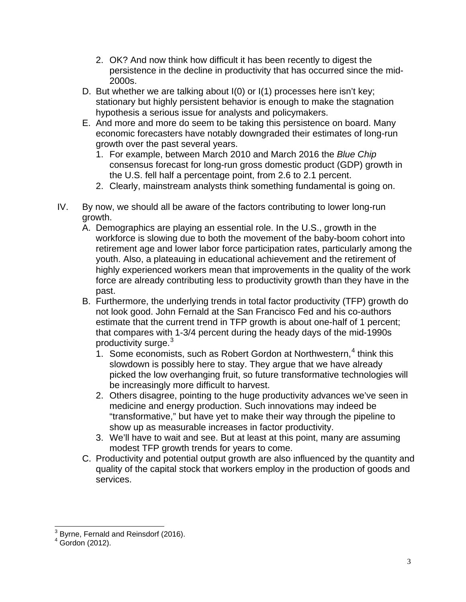- 2. OK? And now think how difficult it has been recently to digest the persistence in the decline in productivity that has occurred since the mid-2000s.
- D. But whether we are talking about I(0) or I(1) processes here isn't key; stationary but highly persistent behavior is enough to make the stagnation hypothesis a serious issue for analysts and policymakers.
- E. And more and more do seem to be taking this persistence on board. Many economic forecasters have notably downgraded their estimates of long-run growth over the past several years.
	- 1. For example, between March 2010 and March 2016 the *Blue Chip* consensus forecast for long-run gross domestic product (GDP) growth in the U.S. fell half a percentage point, from 2.6 to 2.1 percent.
	- 2. Clearly, mainstream analysts think something fundamental is going on.
- IV. By now, we should all be aware of the factors contributing to lower long-run growth.
	- A. Demographics are playing an essential role. In the U.S., growth in the workforce is slowing due to both the movement of the baby-boom cohort into retirement age and lower labor force participation rates, particularly among the youth. Also, a plateauing in educational achievement and the retirement of highly experienced workers mean that improvements in the quality of the work force are already contributing less to productivity growth than they have in the past.
	- B. Furthermore, the underlying trends in total factor productivity (TFP) growth do not look good. John Fernald at the San Francisco Fed and his co-authors estimate that the current trend in TFP growth is about one-half of 1 percent; that compares with 1-3/4 percent during the heady days of the mid-1990s productivity surge.<sup>[3](#page-2-0)</sup>
		- 1. Some economists, such as Robert Gordon at Northwestern, $4$  think this slowdown is possibly here to stay. They argue that we have already picked the low overhanging fruit, so future transformative technologies will be increasingly more difficult to harvest.
		- 2. Others disagree, pointing to the huge productivity advances we've seen in medicine and energy production. Such innovations may indeed be "transformative," but have yet to make their way through the pipeline to show up as measurable increases in factor productivity.
		- 3. We'll have to wait and see. But at least at this point, many are assuming modest TFP growth trends for years to come.
	- C. Productivity and potential output growth are also influenced by the quantity and quality of the capital stock that workers employ in the production of goods and services.

<span id="page-2-0"></span><sup>&</sup>lt;sup>3</sup> Byrne, Fernald and Reinsdorf (2016).

<span id="page-2-1"></span> $4$  Gordon (2012).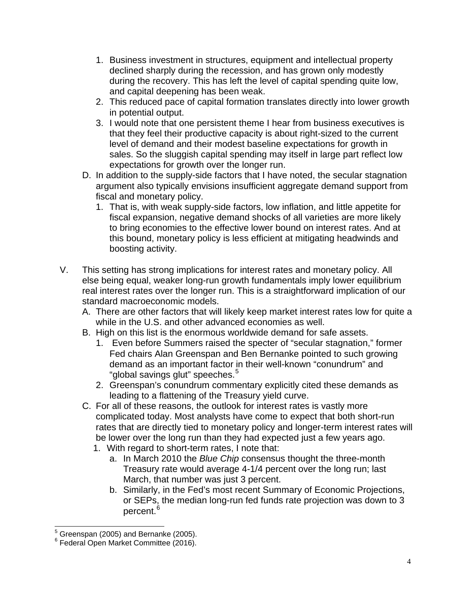- 1. Business investment in structures, equipment and intellectual property declined sharply during the recession, and has grown only modestly during the recovery. This has left the level of capital spending quite low, and capital deepening has been weak.
- 2. This reduced pace of capital formation translates directly into lower growth in potential output.
- 3. I would note that one persistent theme I hear from business executives is that they feel their productive capacity is about right-sized to the current level of demand and their modest baseline expectations for growth in sales. So the sluggish capital spending may itself in large part reflect low expectations for growth over the longer run.
- D. In addition to the supply-side factors that I have noted, the secular stagnation argument also typically envisions insufficient aggregate demand support from fiscal and monetary policy.
	- 1. That is, with weak supply-side factors, low inflation, and little appetite for fiscal expansion, negative demand shocks of all varieties are more likely to bring economies to the effective lower bound on interest rates. And at this bound, monetary policy is less efficient at mitigating headwinds and boosting activity.
- V. This setting has strong implications for interest rates and monetary policy. All else being equal, weaker long-run growth fundamentals imply lower equilibrium real interest rates over the longer run. This is a straightforward implication of our standard macroeconomic models.
	- A. There are other factors that will likely keep market interest rates low for quite a while in the U.S. and other advanced economies as well.
	- B. High on this list is the enormous worldwide demand for safe assets.
		- 1. Even before Summers raised the specter of "secular stagnation," former Fed chairs Alan Greenspan and Ben Bernanke pointed to such growing demand as an important factor in their well-known "conundrum" and "global savings glut" speeches.<sup>[5](#page-3-0)</sup>
		- 2. Greenspan's conundrum commentary explicitly cited these demands as leading to a flattening of the Treasury yield curve.
	- C. For all of these reasons, the outlook for interest rates is vastly more complicated today. Most analysts have come to expect that both short-run rates that are directly tied to monetary policy and longer-term interest rates will be lower over the long run than they had expected just a few years ago.
		- 1. With regard to short-term rates, I note that:
			- a. In March 2010 the *Blue Chip* consensus thought the three-month Treasury rate would average 4-1/4 percent over the long run; last March, that number was just 3 percent.
			- b. Similarly, in the Fed's most recent Summary of Economic Projections, or SEPs, the median long-run fed funds rate projection was down to 3 percent.<sup>[6](#page-3-1)</sup>

<span id="page-3-0"></span> $\frac{5}{3}$  Greenspan (2005) and Bernanke (2005).

<span id="page-3-1"></span><sup>6</sup> Federal Open Market Committee (2016).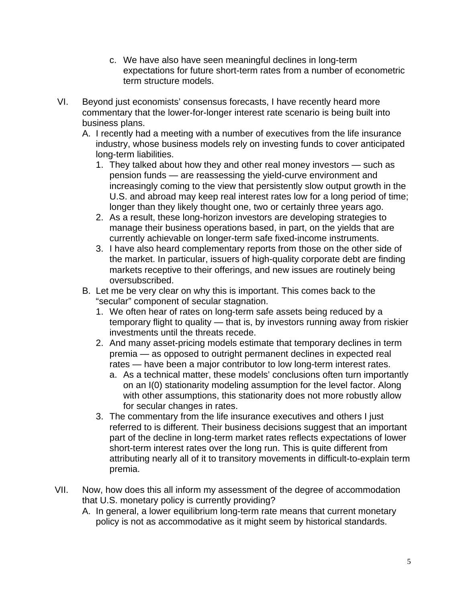- c. We have also have seen meaningful declines in long-term expectations for future short-term rates from a number of econometric term structure models.
- VI. Beyond just economists' consensus forecasts, I have recently heard more commentary that the lower-for-longer interest rate scenario is being built into business plans.
	- A. I recently had a meeting with a number of executives from the life insurance industry, whose business models rely on investing funds to cover anticipated long-term liabilities.
		- 1. They talked about how they and other real money investors such as pension funds — are reassessing the yield-curve environment and increasingly coming to the view that persistently slow output growth in the U.S. and abroad may keep real interest rates low for a long period of time; longer than they likely thought one, two or certainly three years ago.
		- 2. As a result, these long-horizon investors are developing strategies to manage their business operations based, in part, on the yields that are currently achievable on longer-term safe fixed-income instruments.
		- 3. I have also heard complementary reports from those on the other side of the market. In particular, issuers of high-quality corporate debt are finding markets receptive to their offerings, and new issues are routinely being oversubscribed.
	- B. Let me be very clear on why this is important. This comes back to the "secular" component of secular stagnation.
		- 1. We often hear of rates on long-term safe assets being reduced by a temporary flight to quality — that is, by investors running away from riskier investments until the threats recede.
		- 2. And many asset-pricing models estimate that temporary declines in term premia — as opposed to outright permanent declines in expected real rates — have been a major contributor to low long-term interest rates.
			- a. As a technical matter, these models' conclusions often turn importantly on an I(0) stationarity modeling assumption for the level factor. Along with other assumptions, this stationarity does not more robustly allow for secular changes in rates.
		- 3. The commentary from the life insurance executives and others I just referred to is different. Their business decisions suggest that an important part of the decline in long-term market rates reflects expectations of lower short-term interest rates over the long run. This is quite different from attributing nearly all of it to transitory movements in difficult-to-explain term premia.
- VII. Now, how does this all inform my assessment of the degree of accommodation that U.S. monetary policy is currently providing?
	- A. In general, a lower equilibrium long-term rate means that current monetary policy is not as accommodative as it might seem by historical standards.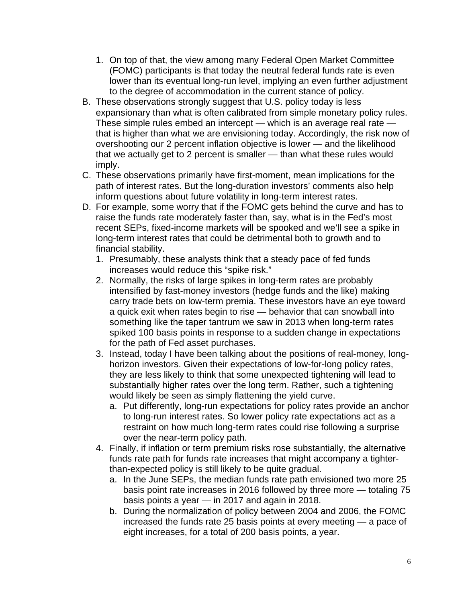- 1. On top of that, the view among many Federal Open Market Committee (FOMC) participants is that today the neutral federal funds rate is even lower than its eventual long-run level, implying an even further adjustment to the degree of accommodation in the current stance of policy.
- B. These observations strongly suggest that U.S. policy today is less expansionary than what is often calibrated from simple monetary policy rules. These simple rules embed an intercept — which is an average real rate that is higher than what we are envisioning today. Accordingly, the risk now of overshooting our 2 percent inflation objective is lower — and the likelihood that we actually get to 2 percent is smaller — than what these rules would imply.
- C. These observations primarily have first-moment, mean implications for the path of interest rates. But the long-duration investors' comments also help inform questions about future volatility in long-term interest rates.
- D. For example, some worry that if the FOMC gets behind the curve and has to raise the funds rate moderately faster than, say, what is in the Fed's most recent SEPs, fixed-income markets will be spooked and we'll see a spike in long-term interest rates that could be detrimental both to growth and to financial stability.
	- 1. Presumably, these analysts think that a steady pace of fed funds increases would reduce this "spike risk."
	- 2. Normally, the risks of large spikes in long-term rates are probably intensified by fast-money investors (hedge funds and the like) making carry trade bets on low-term premia. These investors have an eye toward a quick exit when rates begin to rise — behavior that can snowball into something like the taper tantrum we saw in 2013 when long-term rates spiked 100 basis points in response to a sudden change in expectations for the path of Fed asset purchases.
	- 3. Instead, today I have been talking about the positions of real-money, longhorizon investors. Given their expectations of low-for-long policy rates, they are less likely to think that some unexpected tightening will lead to substantially higher rates over the long term. Rather, such a tightening would likely be seen as simply flattening the yield curve.
		- a. Put differently, long-run expectations for policy rates provide an anchor to long-run interest rates. So lower policy rate expectations act as a restraint on how much long-term rates could rise following a surprise over the near-term policy path.
	- 4. Finally, if inflation or term premium risks rose substantially, the alternative funds rate path for funds rate increases that might accompany a tighterthan-expected policy is still likely to be quite gradual.
		- a. In the June SEPs, the median funds rate path envisioned two more 25 basis point rate increases in 2016 followed by three more — totaling 75 basis points a year — in 2017 and again in 2018.
		- b. During the normalization of policy between 2004 and 2006, the FOMC increased the funds rate 25 basis points at every meeting — a pace of eight increases, for a total of 200 basis points, a year.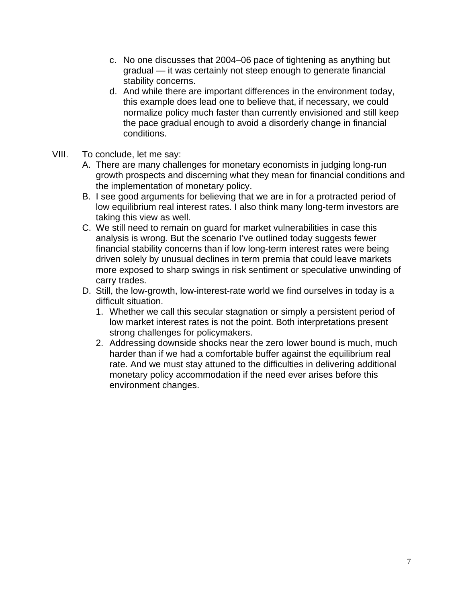- c. No one discusses that 2004–06 pace of tightening as anything but gradual — it was certainly not steep enough to generate financial stability concerns.
- d. And while there are important differences in the environment today, this example does lead one to believe that, if necessary, we could normalize policy much faster than currently envisioned and still keep the pace gradual enough to avoid a disorderly change in financial conditions.
- VIII. To conclude, let me say:
	- A. There are many challenges for monetary economists in judging long-run growth prospects and discerning what they mean for financial conditions and the implementation of monetary policy.
	- B. I see good arguments for believing that we are in for a protracted period of low equilibrium real interest rates. I also think many long-term investors are taking this view as well.
	- C. We still need to remain on guard for market vulnerabilities in case this analysis is wrong. But the scenario I've outlined today suggests fewer financial stability concerns than if low long-term interest rates were being driven solely by unusual declines in term premia that could leave markets more exposed to sharp swings in risk sentiment or speculative unwinding of carry trades.
	- D. Still, the low-growth, low-interest-rate world we find ourselves in today is a difficult situation.
		- 1. Whether we call this secular stagnation or simply a persistent period of low market interest rates is not the point. Both interpretations present strong challenges for policymakers.
		- 2. Addressing downside shocks near the zero lower bound is much, much harder than if we had a comfortable buffer against the equilibrium real rate. And we must stay attuned to the difficulties in delivering additional monetary policy accommodation if the need ever arises before this environment changes.